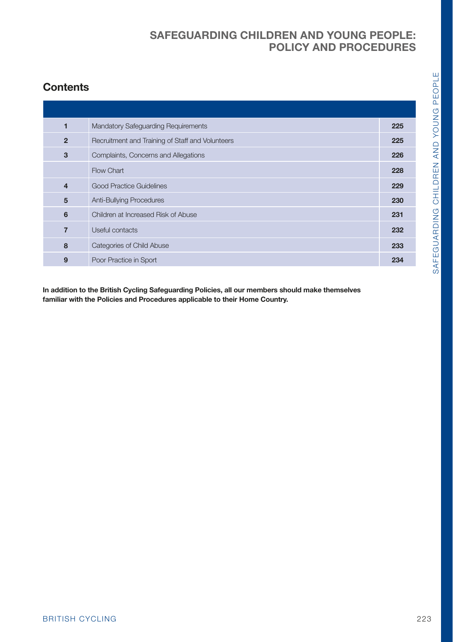# **Contents**

| $\mathbf{1}$ | Mandatory Safeguarding Requirements              | 225 |
|--------------|--------------------------------------------------|-----|
| $\mathbf 2$  | Recruitment and Training of Staff and Volunteers | 225 |
| $\mathbf 3$  | Complaints, Concerns and Allegations             | 226 |
|              | Flow Chart                                       | 228 |
| 4            | Good Practice Guidelines                         | 229 |
| ${\bf 5}$    | Anti-Bullying Procedures                         | 230 |
| 6            | Children at Increased Risk of Abuse              | 231 |
| $\bf 7$      | Useful contacts                                  | 232 |
| 8            | Categories of Child Abuse                        | 233 |
| 9            | Poor Practice in Sport                           | 234 |
|              |                                                  |     |
|              |                                                  |     |
|              |                                                  |     |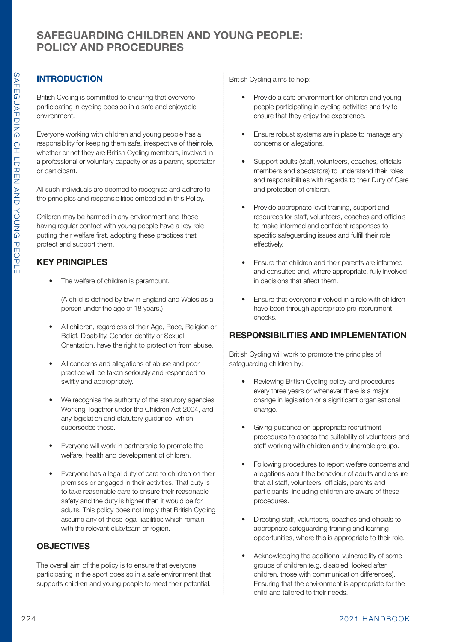# **INTRODUCTION**

British Cycling is committed to ensuring that everyone participating in cycling does so in a safe and enjoyable environment.

Everyone working with children and young people has a responsibility for keeping them safe, irrespective of their role, whether or not they are British Cycling members, involved in a professional or voluntary capacity or as a parent, spectator or participant.

All such individuals are deemed to recognise and adhere to the principles and responsibilities embodied in this Policy.

Children may be harmed in any environment and those having regular contact with young people have a key role putting their welfare first, adopting these practices that protect and support them.

## **KEY PRINCIPLES**

• The welfare of children is paramount.

(A child is defined by law in England and Wales as a person under the age of 18 years.)

- All children, regardless of their Age, Race, Religion or Belief, Disability, Gender identity or Sexual Orientation, have the right to protection from abuse.
- All concerns and allegations of abuse and poor practice will be taken seriously and responded to swiftly and appropriately.
- We recognise the authority of the statutory agencies, Working Together under the Children Act 2004, and any legislation and statutory guidance which supersedes these.
- Everyone will work in partnership to promote the welfare, health and development of children.
- Everyone has a legal duty of care to children on their premises or engaged in their activities. That duty is to take reasonable care to ensure their reasonable safety and the duty is higher than it would be for adults. This policy does not imply that British Cycling assume any of those legal liabilities which remain with the relevant club/team or region.

## **OBJECTIVES**

The overall aim of the policy is to ensure that everyone participating in the sport does so in a safe environment that supports children and young people to meet their potential.

British Cycling aims to help:

- Provide a safe environment for children and young people participating in cycling activities and try to ensure that they enjoy the experience.
- Ensure robust systems are in place to manage any concerns or allegations.
- Support adults (staff, volunteers, coaches, officials, members and spectators) to understand their roles and responsibilities with regards to their Duty of Care and protection of children.
- Provide appropriate level training, support and resources for staff, volunteers, coaches and officials to make informed and confident responses to specific safeguarding issues and fulfill their role effectively.
- Ensure that children and their parents are informed and consulted and, where appropriate, fully involved in decisions that affect them.
- Ensure that everyone involved in a role with children have been through appropriate pre-recruitment checks.

### **RESPONSIBILITIES AND IMPLEMENTATION**

British Cycling will work to promote the principles of safeguarding children by:

- Reviewing British Cycling policy and procedures every three years or whenever there is a major change in legislation or a significant organisational change.
- Giving guidance on appropriate recruitment procedures to assess the suitability of volunteers and staff working with children and vulnerable groups.
- Following procedures to report welfare concerns and allegations about the behaviour of adults and ensure that all staff, volunteers, officials, parents and participants, including children are aware of these procedures.
- Directing staff, volunteers, coaches and officials to appropriate safeguarding training and learning opportunities, where this is appropriate to their role.
- Acknowledging the additional vulnerability of some groups of children (e.g. disabled, looked after children, those with communication differences). Ensuring that the environment is appropriate for the child and tailored to their needs.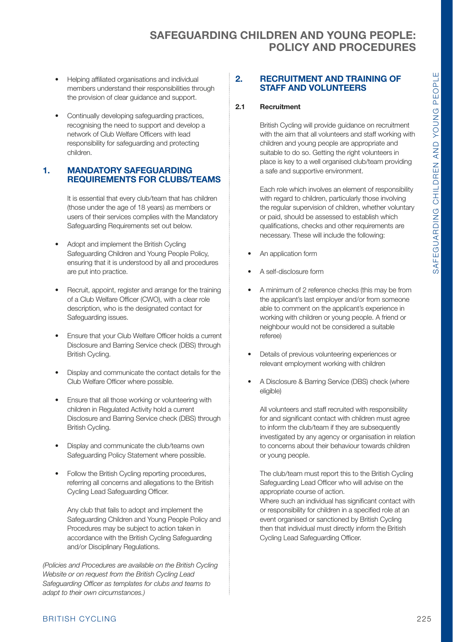- Helping affiliated organisations and individual members understand their responsibilities through the provision of clear guidance and support.
- Continually developing safeguarding practices recognising the need to support and develop a network of Club Welfare Officers with lead responsibility for safeguarding and protecting children.

### **1. MANDATORY SAFEGUARDING REQUIREMENTS FOR CLUBS/TEAMS**

It is essential that every club/team that has children (those under the age of 18 years) as members or users of their services complies with the Mandatory Safeguarding Requirements set out below.

- Adopt and implement the British Cycling Safeguarding Children and Young People Policy, ensuring that it is understood by all and procedures are put into practice.
- • Recruit, appoint, register and arrange for the training of a Club Welfare Officer (CWO), with a clear role description, who is the designated contact for Safeguarding issues.
- Ensure that your Club Welfare Officer holds a current Disclosure and Barring Service check (DBS) through British Cycling.
- • Display and communicate the contact details for the Club Welfare Officer where possible.
- Ensure that all those working or volunteering with children in Regulated Activity hold a current Disclosure and Barring Service check (DBS) through British Cycling.
- • Display and communicate the club/teams own Safeguarding Policy Statement where possible.
- Follow the British Cycling reporting procedures, referring all concerns and allegations to the British Cycling Lead Safeguarding Officer.

 Any club that fails to adopt and implement the Safeguarding Children and Young People Policy and Procedures may be subject to action taken in accordance with the British Cycling Safeguarding and/or Disciplinary Regulations.

*(Policies and Procedures are available on the British Cycling Website or on request from the British Cycling Lead Safeguarding Officer as templates for clubs and teams to adapt to their own circumstances.)*

### **2. RECRUITMENT AND TRAINING OF STAFF AND VOLUNTEERS**

### **2.1 Recruitment**

 British Cycling will provide guidance on recruitment with the aim that all volunteers and staff working with children and young people are appropriate and suitable to do so. Getting the right volunteers in place is key to a well organised club/team providing a safe and supportive environment.

 Each role which involves an element of responsibility with regard to children, particularly those involving the regular supervision of children, whether voluntary or paid, should be assessed to establish which qualifications, checks and other requirements are necessary. These will include the following:

- An application form
- • A self-disclosure form
- • A minimum of 2 reference checks (this may be from the applicant's last employer and/or from someone able to comment on the applicant's experience in working with children or young people. A friend or neighbour would not be considered a suitable referee)
- • Details of previous volunteering experiences or relevant employment working with children
- • A Disclosure & Barring Service (DBS) check (where eligible)

 All volunteers and staff recruited with responsibility for and significant contact with children must agree to inform the club/team if they are subsequently investigated by any agency or organisation in relation to concerns about their behaviour towards children or young people.

 The club/team must report this to the British Cycling Safeguarding Lead Officer who will advise on the appropriate course of action.

 Where such an individual has significant contact with or responsibility for children in a specified role at an event organised or sanctioned by British Cycling then that individual must directly inform the British Cycling Lead Safeguarding Officer.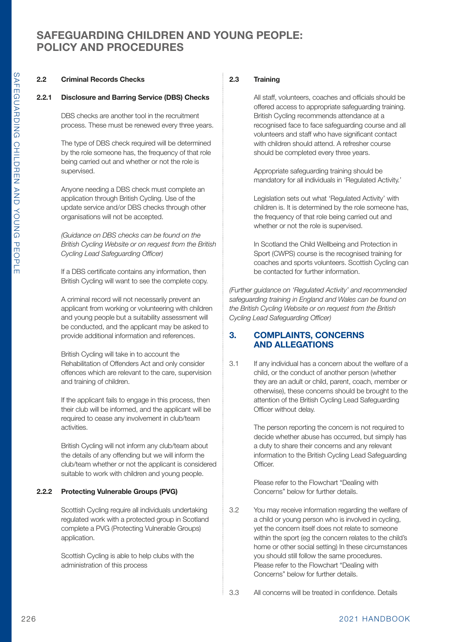#### **2.2 Criminal Records Checks**

#### **2.2.1 Disclosure and Barring Service (DBS) Checks**

DBS checks are another tool in the recruitment process. These must be renewed every three years.

The type of DBS check required will be determined by the role someone has, the frequency of that role being carried out and whether or not the role is supervised.

Anyone needing a DBS check must complete an application through British Cycling. Use of the update service and/or DBS checks through other organisations will not be accepted.

*(Guidance on DBS checks can be found on the British Cycling Website or on request from the British Cycling Lead Safeguarding Officer)* 

 If a DBS certificate contains any information, then British Cycling will want to see the complete copy.

> A criminal record will not necessarily prevent an applicant from working or volunteering with children and young people but a suitability assessment will be conducted, and the applicant may be asked to provide additional information and references.

> British Cycling will take in to account the Rehabilitation of Offenders Act and only consider offences which are relevant to the care, supervision and training of children.

> If the applicant fails to engage in this process, then their club will be informed, and the applicant will be required to cease any involvement in club/team activities.

British Cycling will not inform any club/team about the details of any offending but we will inform the club/team whether or not the applicant is considered suitable to work with children and young people.

#### **2.2.2 Protecting Vulnerable Groups (PVG)**

Scottish Cycling require all individuals undertaking regulated work with a protected group in Scotland complete a PVG (Protecting Vulnerable Groups) application.

Scottish Cycling is able to help clubs with the administration of this process

#### **2.3 Training**

 All staff, volunteers, coaches and officials should be offered access to appropriate safeguarding training. British Cycling recommends attendance at a recognised face to face safeguarding course and all volunteers and staff who have significant contact with children should attend. A refresher course should be completed every three years.

Appropriate safeguarding training should be mandatory for all individuals in 'Regulated Activity.'

Legislation sets out what 'Regulated Activity' with children is. It is determined by the role someone has, the frequency of that role being carried out and whether or not the role is supervised.

In Scotland the Child Wellbeing and Protection in Sport (CWPS) course is the recognised training for coaches and sports volunteers. Scottish Cycling can be contacted for further information.

*(Further guidance on 'Regulated Activity' and recommended safeguarding training in England and Wales can be found on the British Cycling Website or on request from the British Cycling Lead Safeguarding Officer)*

### **3. COMPLAINTS, CONCERNS AND ALLEGATIONS**

3.1 If any individual has a concern about the welfare of a child, or the conduct of another person (whether they are an adult or child, parent, coach, member or otherwise), these concerns should be brought to the attention of the British Cycling Lead Safeguarding Officer without delay.

> The person reporting the concern is not required to decide whether abuse has occurred, but simply has a duty to share their concerns and any relevant information to the British Cycling Lead Safeguarding Officer.

Please refer to the Flowchart "Dealing with Concerns" below for further details.

3.2 You may receive information regarding the welfare of a child or young person who is involved in cycling, yet the concern itself does not relate to someone within the sport (eg the concern relates to the child's home or other social setting) In these circumstances you should still follow the same procedures. Please refer to the Flowchart "Dealing with Concerns" below for further details.

3.3 All concerns will be treated in confidence. Details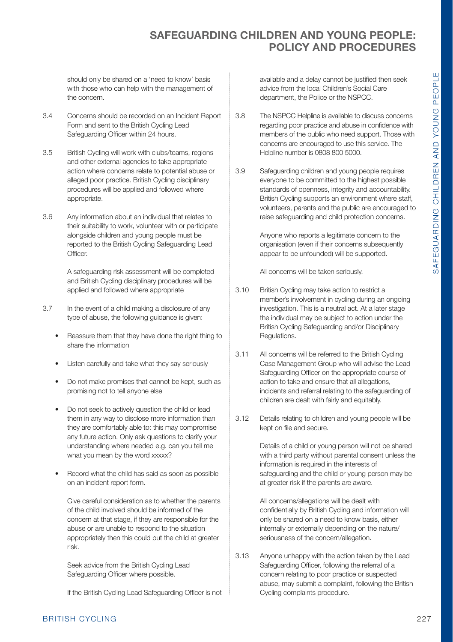should only be shared on a 'need to know' basis with those who can help with the management of the concern.

- 3.4 Concerns should be recorded on an Incident Report Form and sent to the British Cycling Lead Safeguarding Officer within 24 hours.
- 3.5 British Cycling will work with clubs/teams, regions and other external agencies to take appropriate action where concerns relate to potential abuse or alleged poor practice. British Cycling disciplinary procedures will be applied and followed where appropriate.
- 3.6 Any information about an individual that relates to their suitability to work, volunteer with or participate alongside children and young people must be reported to the British Cycling Safeguarding Lead **Officer**

A safeguarding risk assessment will be completed and British Cycling disciplinary procedures will be applied and followed where appropriate

- 3.7 In the event of a child making a disclosure of any type of abuse, the following guidance is given:
	- Reassure them that they have done the right thing to share the information
	- Listen carefully and take what they say seriously
	- Do not make promises that cannot be kept, such as promising not to tell anyone else
	- Do not seek to actively question the child or lead them in any way to disclose more information than they are comfortably able to: this may compromise any future action. Only ask questions to clarify your understanding where needed e.g. can you tell me what you mean by the word xxxxx?
	- Record what the child has said as soon as possible on an incident report form.

Give careful consideration as to whether the parents of the child involved should be informed of the concern at that stage, if they are responsible for the abuse or are unable to respond to the situation appropriately then this could put the child at greater risk.

Seek advice from the British Cycling Lead Safeguarding Officer where possible.

If the British Cycling Lead Safeguarding Officer is not

available and a delay cannot be justified then seek advice from the local Children's Social Care department, the Police or the NSPCC.

- 3.8 The NSPCC Helpline is available to discuss concerns regarding poor practice and abuse in confidence with members of the public who need support. Those with concerns are encouraged to use this service. The Helpline number is 0808 800 5000.
- 3.9 Safeguarding children and young people requires everyone to be committed to the highest possible standards of openness, integrity and accountability. British Cycling supports an environment where staff, volunteers, parents and the public are encouraged to raise safeguarding and child protection concerns.

Anyone who reports a legitimate concern to the organisation (even if their concerns subsequently appear to be unfounded) will be supported.

All concerns will be taken seriously.

- 3.10 British Cycling may take action to restrict a member's involvement in cycling during an ongoing investigation. This is a neutral act. At a later stage the individual may be subject to action under the British Cycling Safeguarding and/or Disciplinary Regulations.
- 3.11 All concerns will be referred to the British Cycling Case Management Group who will advise the Lead Safeguarding Officer on the appropriate course of action to take and ensure that all allegations, incidents and referral relating to the safeguarding of children are dealt with fairly and equitably.
- 3.12 Details relating to children and young people will be kept on file and secure.

Details of a child or young person will not be shared with a third party without parental consent unless the information is required in the interests of safeguarding and the child or young person may be at greater risk if the parents are aware.

All concerns/allegations will be dealt with confidentially by British Cycling and information will only be shared on a need to know basis, either internally or externally depending on the nature/ seriousness of the concern/allegation.

3.13 Anyone unhappy with the action taken by the Lead Safeguarding Officer, following the referral of a concern relating to poor practice or suspected abuse, may submit a complaint, following the British Cycling complaints procedure.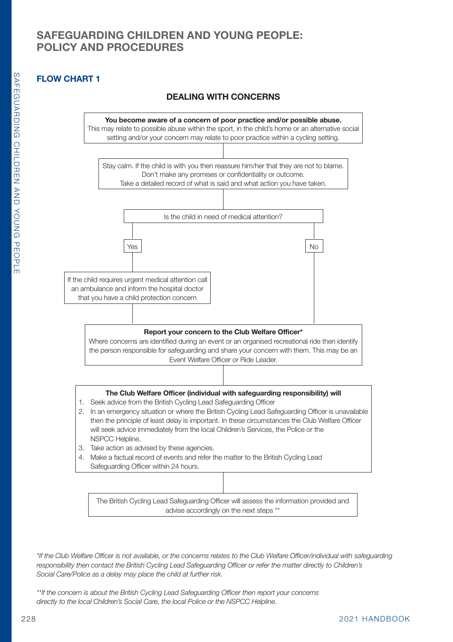# **FLOW CHART 1**

## **DEALING WITH CONCERNS**



The British Cycling Lead Safeguarding Officer will assess the information provided and advise accordingly on the next steps \*\*

*\*If the Club Welfare Officer is not available, or the concerns relates to the Club Welfare Officer/individual with safeguarding responsibility then contact the British Cycling Lead Safeguarding Officer or refer the matter directly to Children's Social Care/Police as a delay may place the child at further risk.*

*\*\*If the concern is about the British Cycling Lead Safeguarding Officer then report your concerns directly to the local Children's Social Care, the local Police or the NSPCC Helpline.*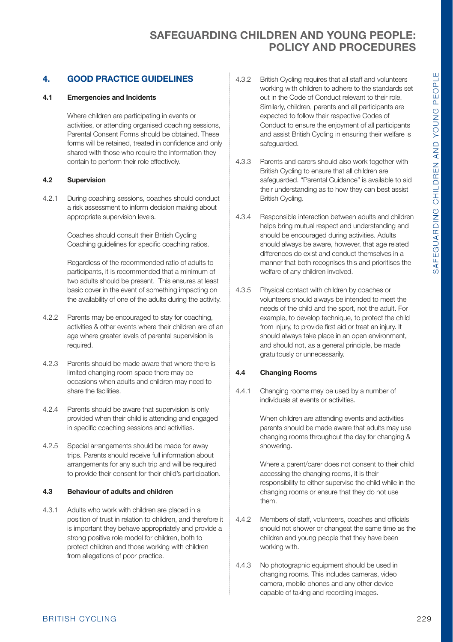### **4. GOOD PRACTICE GUIDELINES**

#### **4.1 Emergencies and Incidents**

Where children are participating in events or activities, or attending organised coaching sessions, Parental Consent Forms should be obtained. These forms will be retained, treated in confidence and only shared with those who require the information they contain to perform their role effectively.

#### **4.2 Supervision**

4.2.1 During coaching sessions, coaches should conduct a risk assessment to inform decision making about appropriate supervision levels.

> Coaches should consult their British Cycling Coaching guidelines for specific coaching ratios.

Regardless of the recommended ratio of adults to participants, it is recommended that a minimum of two adults should be present. This ensures at least basic cover in the event of something impacting on the availability of one of the adults during the activity.

- 4.2.2 Parents may be encouraged to stay for coaching, activities & other events where their children are of an age where greater levels of parental supervision is required.
- 4.2.3 Parents should be made aware that where there is limited changing room space there may be occasions when adults and children may need to share the facilities.
- 4.2.4 Parents should be aware that supervision is only provided when their child is attending and engaged in specific coaching sessions and activities.
- 4.2.5 Special arrangements should be made for away trips. Parents should receive full information about arrangements for any such trip and will be required to provide their consent for their child's participation.

#### **4.3 Behaviour of adults and children**

4.3.1 Adults who work with children are placed in a position of trust in relation to children, and therefore it is important they behave appropriately and provide a strong positive role model for children, both to protect children and those working with children from allegations of poor practice.

- 4.3.2 British Cycling requires that all staff and volunteers working with children to adhere to the standards set out in the Code of Conduct relevant to their role. Similarly, children, parents and all participants are expected to follow their respective Codes of Conduct to ensure the enjoyment of all participants and assist British Cycling in ensuring their welfare is safeguarded.
- 4.3.3 Parents and carers should also work together with British Cycling to ensure that all children are safeguarded. "Parental Guidance" is available to aid their understanding as to how they can best assist British Cycling.
- 4.3.4 Responsible interaction between adults and children helps bring mutual respect and understanding and should be encouraged during activities. Adults should always be aware, however, that age related differences do exist and conduct themselves in a manner that both recognises this and prioritises the welfare of any children involved.
- 4.3.5 Physical contact with children by coaches or volunteers should always be intended to meet the needs of the child and the sport, not the adult. For example, to develop technique, to protect the child from injury, to provide first aid or treat an injury. It should always take place in an open environment, and should not, as a general principle, be made gratuitously or unnecessarily.

#### **4.4 Changing Rooms**

4.4.1 Changing rooms may be used by a number of individuals at events or activities.

> When children are attending events and activities parents should be made aware that adults may use changing rooms throughout the day for changing & showering.

Where a parent/carer does not consent to their child accessing the changing rooms, it is their responsibility to either supervise the child while in the changing rooms or ensure that they do not use them.

- 4.4.2 Members of staff, volunteers, coaches and officials should not shower or changeat the same time as the children and young people that they have been working with.
- 4.4.3 No photographic equipment should be used in changing rooms. This includes cameras, video camera, mobile phones and any other device capable of taking and recording images.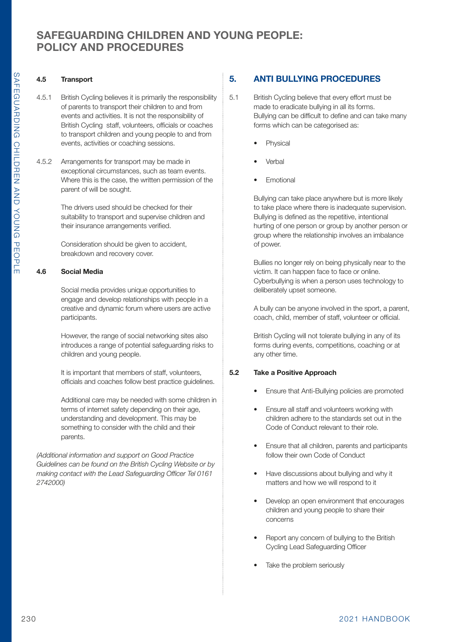### **4.5 Transport**

- 4.5.1 British Cycling believes it is primarily the responsibility of parents to transport their children to and from events and activities. It is not the responsibility of British Cycling staff, volunteers, officials or coaches to transport children and young people to and from events, activities or coaching sessions.
- 4.5.2 Arrangements for transport may be made in exceptional circumstances, such as team events. Where this is the case, the written permission of the parent of will be sought.

The drivers used should be checked for their suitability to transport and supervise children and their insurance arrangements verified.

Consideration should be given to accident, breakdown and recovery cover.

### **4.6 Social Media**

Social media provides unique opportunities to engage and develop relationships with people in a creative and dynamic forum where users are active participants.

However, the range of social networking sites also introduces a range of potential safeguarding risks to children and young people.

It is important that members of staff, volunteers, officials and coaches follow best practice guidelines.

Additional care may be needed with some children in terms of internet safety depending on their age, understanding and development. This may be something to consider with the child and their parents.

*(Additional information and support on Good Practice Guidelines can be found on the British Cycling Website or by making contact with the Lead Safeguarding Officer Tel 0161 2742000)*

# **5. ANTI BULLYING PROCEDURES**

- 5.1 British Cycling believe that every effort must be made to eradicate bullying in all its forms. Bullying can be difficult to define and can take many forms which can be categorised as:
	- **Physical**
	- Verbal
	- Emotional

Bullying can take place anywhere but is more likely to take place where there is inadequate supervision. Bullying is defined as the repetitive, intentional hurting of one person or group by another person or group where the relationship involves an imbalance of power.

Bullies no longer rely on being physically near to the victim. It can happen face to face or online. Cyberbullying is when a person uses technology to deliberately upset someone.

A bully can be anyone involved in the sport, a parent, coach, child, member of staff, volunteer or official.

British Cycling will not tolerate bullying in any of its forms during events, competitions, coaching or at any other time.

### **5.2 Take a Positive Approach**

- Ensure that Anti-Bullying policies are promoted
- Ensure all staff and volunteers working with children adhere to the standards set out in the Code of Conduct relevant to their role.
- Ensure that all children, parents and participants follow their own Code of Conduct
- Have discussions about bullying and why it matters and how we will respond to it
- Develop an open environment that encourages children and young people to share their concerns
- Report any concern of bullying to the British Cycling Lead Safeguarding Officer
- Take the problem seriously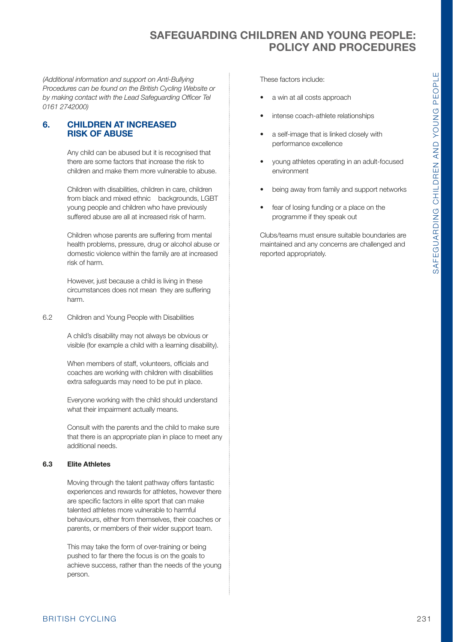*(Additional information and support on Anti-Bullying Procedures can be found on the British Cycling Website or by making contact with the Lead Safeguarding Officer Tel 0161 2742000)*

### **6. CHILDREN AT INCREASED RISK OF ABUSE**

Any child can be abused but it is recognised that there are some factors that increase the risk to children and make them more vulnerable to abuse.

Children with disabilities, children in care, children from black and mixed ethnic backgrounds, LGBT young people and children who have previously suffered abuse are all at increased risk of harm.

Children whose parents are suffering from mental health problems, pressure, drug or alcohol abuse or domestic violence within the family are at increased risk of harm.

However, just because a child is living in these circumstances does not mean they are suffering harm.

6.2 Children and Young People with Disabilities

A child's disability may not always be obvious or visible (for example a child with a learning disability).

When members of staff, volunteers, officials and coaches are working with children with disabilities extra safeguards may need to be put in place.

Everyone working with the child should understand what their impairment actually means.

Consult with the parents and the child to make sure that there is an appropriate plan in place to meet any additional needs.

#### **6.3 Elite Athletes**

Moving through the talent pathway offers fantastic experiences and rewards for athletes, however there are specific factors in elite sport that can make talented athletes more vulnerable to harmful behaviours, either from themselves, their coaches or parents, or members of their wider support team.

This may take the form of over-training or being pushed to far there the focus is on the goals to achieve success, rather than the needs of the young person.

These factors include:

- a win at all costs approach
- intense coach-athlete relationships
- a self-image that is linked closely with performance excellence
- young athletes operating in an adult-focused environment
- being away from family and support networks
- fear of losing funding or a place on the programme if they speak out

Clubs/teams must ensure suitable boundaries are maintained and any concerns are challenged and reported appropriately.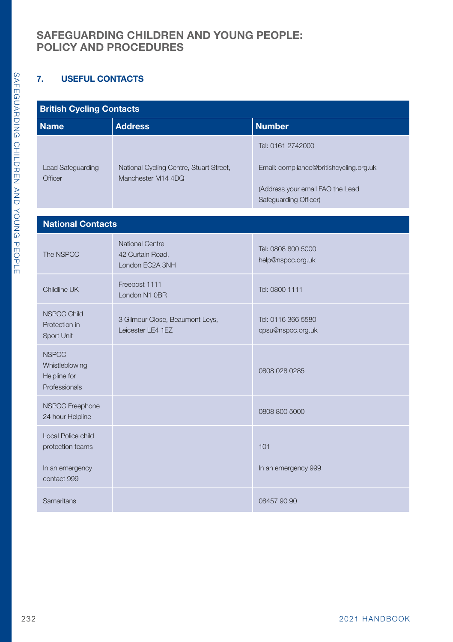## **7. USEFUL CONTACTS**

### **British Cycling Contacts**

| סוועאו טעראינט ווסטווס        |                                                               |                                                           |  |  |  |
|-------------------------------|---------------------------------------------------------------|-----------------------------------------------------------|--|--|--|
| <b>Name</b>                   | <b>Address</b>                                                | <b>Number</b>                                             |  |  |  |
|                               |                                                               | Tel: 0161 2742000                                         |  |  |  |
| Lead Safeguarding<br>Officer  | National Cycling Centre, Stuart Street,<br>Manchester M14 4DQ | Email: compliance@britishcycling.org.uk                   |  |  |  |
|                               |                                                               | (Address your email FAO the Lead<br>Safeguarding Officer) |  |  |  |
|                               |                                                               |                                                           |  |  |  |
| <b>National Contacts</b>      |                                                               |                                                           |  |  |  |
|                               | <b>National Centre</b>                                        |                                                           |  |  |  |
| The NSPCC                     | 42 Curtain Road,                                              | Tel: 0808 800 5000<br>help@nspcc.org.uk                   |  |  |  |
|                               | London EC2A 3NH                                               |                                                           |  |  |  |
| Childline UK                  | Freepost 1111                                                 |                                                           |  |  |  |
|                               | London N1 0BR                                                 | Tel: 0800 1111                                            |  |  |  |
| <b>NSPCC Child</b>            | 3 Gilmour Close, Beaumont Leys,                               | Tel: 0116 366 5580                                        |  |  |  |
| Protection in                 | Leicester LE4 1EZ                                             | cpsu@nspcc.org.uk                                         |  |  |  |
| Sport Unit                    |                                                               |                                                           |  |  |  |
| <b>NSPCC</b>                  |                                                               |                                                           |  |  |  |
| Whistleblowing                |                                                               | 0808 028 0285                                             |  |  |  |
| Helpline for<br>Professionals |                                                               |                                                           |  |  |  |
|                               |                                                               |                                                           |  |  |  |
| <b>NSPCC Freephone</b>        |                                                               | 0808 800 5000                                             |  |  |  |
| 24 hour Helpline              |                                                               |                                                           |  |  |  |
| Local Police child            |                                                               |                                                           |  |  |  |
| protection teams              |                                                               | 101                                                       |  |  |  |
| In an emergency               |                                                               | In an emergency 999                                       |  |  |  |
| contact 999                   |                                                               |                                                           |  |  |  |
| Samaritans                    |                                                               | 08457 90 90                                               |  |  |  |
|                               |                                                               |                                                           |  |  |  |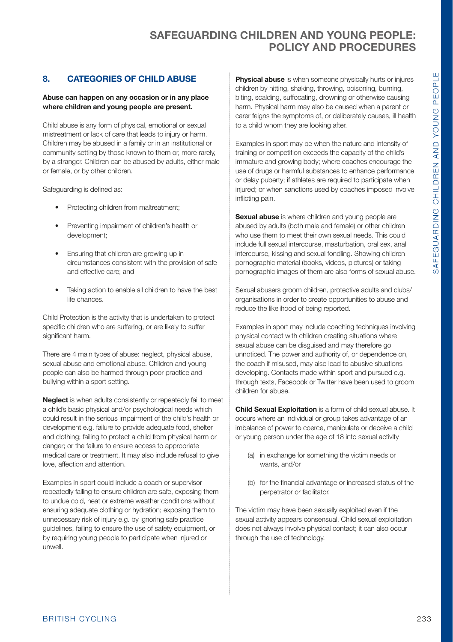### **8. CATEGORIES OF CHILD ABUSE**

#### **Abuse can happen on any occasion or in any place where children and young people are present.**

Child abuse is any form of physical, emotional or sexual mistreatment or lack of care that leads to injury or harm. Children may be abused in a family or in an institutional or community setting by those known to them or, more rarely, by a stranger. Children can be abused by adults, either male or female, or by other children.

Safeguarding is defined as:

- Protecting children from maltreatment:
- Preventing impairment of children's health or development;
- Ensuring that children are growing up in circumstances consistent with the provision of safe and effective care; and
- Taking action to enable all children to have the best life chances.

Child Protection is the activity that is undertaken to protect specific children who are suffering, or are likely to suffer significant harm.

There are 4 main types of abuse: neglect, physical abuse, sexual abuse and emotional abuse. Children and young people can also be harmed through poor practice and bullying within a sport setting.

**Neglect** is when adults consistently or repeatedly fail to meet a child's basic physical and/or psychological needs which could result in the serious impairment of the child's health or development e.g. failure to provide adequate food, shelter and clothing; failing to protect a child from physical harm or danger; or the failure to ensure access to appropriate medical care or treatment. It may also include refusal to give love, affection and attention.

Examples in sport could include a coach or supervisor repeatedly failing to ensure children are safe, exposing them to undue cold, heat or extreme weather conditions without ensuring adequate clothing or hydration; exposing them to unnecessary risk of injury e.g. by ignoring safe practice guidelines, failing to ensure the use of safety equipment, or by requiring young people to participate when injured or unwell.

**Physical abuse** is when someone physically hurts or injures children by hitting, shaking, throwing, poisoning, burning, biting, scalding, suffocating, drowning or otherwise causing harm. Physical harm may also be caused when a parent or carer feigns the symptoms of, or deliberately causes, ill health to a child whom they are looking after.

Examples in sport may be when the nature and intensity of training or competition exceeds the capacity of the child's immature and growing body; where coaches encourage the use of drugs or harmful substances to enhance performance or delay puberty; if athletes are required to participate when injured; or when sanctions used by coaches imposed involve inflicting pain.

**Sexual abuse** is where children and young people are abused by adults (both male and female) or other children who use them to meet their own sexual needs. This could include full sexual intercourse, masturbation, oral sex, anal intercourse, kissing and sexual fondling. Showing children pornographic material (books, videos, pictures) or taking pornographic images of them are also forms of sexual abuse.

Sexual abusers groom children, protective adults and clubs/ organisations in order to create opportunities to abuse and reduce the likelihood of being reported.

Examples in sport may include coaching techniques involving physical contact with children creating situations where sexual abuse can be disguised and may therefore go unnoticed. The power and authority of, or dependence on, the coach if misused, may also lead to abusive situations developing. Contacts made within sport and pursued e.g. through texts, Facebook or Twitter have been used to groom children for abuse.

**Child Sexual Exploitation** is a form of child sexual abuse. It occurs where an individual or group takes advantage of an imbalance of power to coerce, manipulate or deceive a child or young person under the age of 18 into sexual activity

- (a) in exchange for something the victim needs or wants, and/or
- (b) for the financial advantage or increased status of the perpetrator or facilitator.

The victim may have been sexually exploited even if the sexual activity appears consensual. Child sexual exploitation does not always involve physical contact; it can also occur through the use of technology.